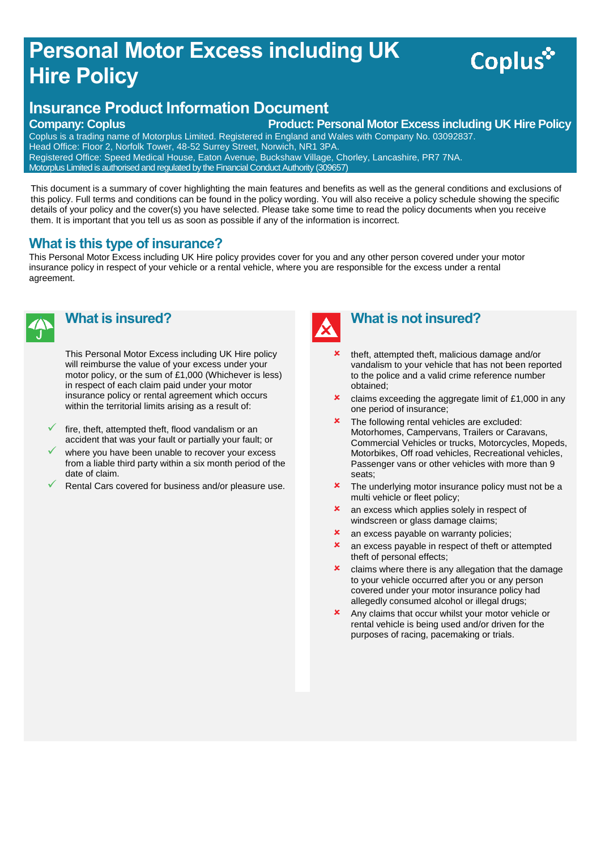## **Personal Motor Excess including UK Hire Policy**

# Coplus<sup>\*</sup>

### **Insurance Product Information Document**

**Company: Coplus Company: Coplus Product: Personal Motor Excess including UK Hire Policy** 

Coplus is a trading name of Motorplus Limited. Registered in England and Wales with Company No. 03092837. Head Office: Floor 2, Norfolk Tower, 48-52 Surrey Street, Norwich, NR1 3PA. Registered Office: Speed Medical House, Eaton Avenue, Buckshaw Village, Chorley, Lancashire, PR7 7NA. Motorplus Limited is authorised and regulated by the Financial Conduct Authority (309657)

This document is a summary of cover highlighting the main features and benefits as well as the general conditions and exclusions of this policy. Full terms and conditions can be found in the policy wording. You will also receive a policy schedule showing the specific details of your policy and the cover(s) you have selected. Please take some time to read the policy documents when you receive them. It is important that you tell us as soon as possible if any of the information is incorrect.

#### **What is this type of insurance?**

This Personal Motor Excess including UK Hire policy provides cover for you and any other person covered under your motor insurance policy in respect of your vehicle or a rental vehicle, where you are responsible for the excess under a rental agreement.



#### **What is insured?**

This Personal Motor Excess including UK Hire policy will reimburse the value of your excess under your motor policy, or the sum of £1,000 (Whichever is less) in respect of each claim paid under your motor insurance policy or rental agreement which occurs within the territorial limits arising as a result of:

- fire, theft, attempted theft, flood vandalism or an accident that was your fault or partially your fault; or
- where you have been unable to recover your excess from a liable third party within a six month period of the date of claim.
- Rental Cars covered for business and/or pleasure use.



#### **What is not insured?**

- theft, attempted theft, malicious damage and/or vandalism to your vehicle that has not been reported to the police and a valid crime reference number obtained;
- $\star$  claims exceeding the aggregate limit of £1,000 in any one period of insurance;
- **\*** The following rental vehicles are excluded: Motorhomes, Campervans, Trailers or Caravans, Commercial Vehicles or trucks, Motorcycles, Mopeds, Motorbikes, Off road vehicles, Recreational vehicles, Passenger vans or other vehicles with more than 9 seats;
- **\*** The underlying motor insurance policy must not be a multi vehicle or fleet policy;
- **x** an excess which applies solely in respect of windscreen or glass damage claims;
- **x** an excess payable on warranty policies;
- **x** an excess payable in respect of theft or attempted theft of personal effects;
- $\boldsymbol{\times}$  claims where there is any allegation that the damage to your vehicle occurred after you or any person covered under your motor insurance policy had allegedly consumed alcohol or illegal drugs;
- **x** Any claims that occur whilst your motor vehicle or rental vehicle is being used and/or driven for the purposes of racing, pacemaking or trials.